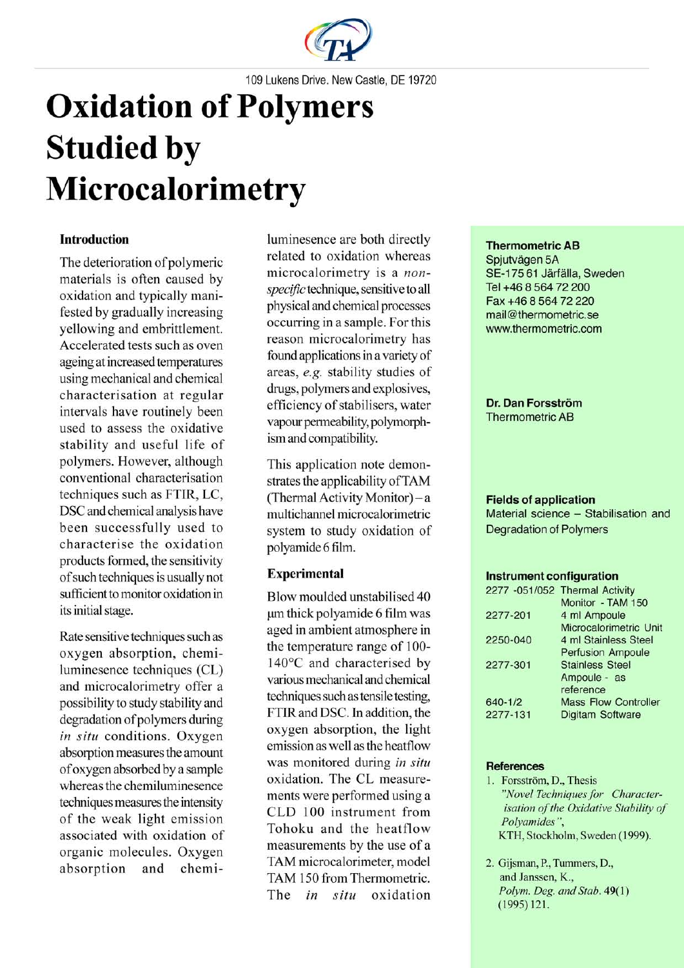

109 Lukens Drive. New Castle, DE 19720

# **Oxidation of Polymers Studied by** Microcalorimetry

## **Introduction**

The deterioration of polymeric materials is often caused by oxidation and typically manifested by gradually increasing vellowing and embrittlement. Accelerated tests such as oven ageing at increased temperatures using mechanical and chemical characterisation at regular intervals have routinely been used to assess the oxidative stability and useful life of polymers. However, although conventional characterisation techniques such as FTIR, LC, DSC and chemical analysis have been successfully used to characterise the oxidation products formed, the sensitivity of such techniques is usually not sufficient to monitor oxidation in its initial stage.

Rate sensitive techniques such as oxygen absorption, chemiluminesence techniques (CL) and microcalorimetry offer a possibility to study stability and degradation of polymers during in situ conditions. Oxygen absorption measures the amount of oxygen absorbed by a sample whereas the chemiluminesence techniques measures the intensity of the weak light emission associated with oxidation of organic molecules. Oxygen chemiabsorption and

luminesence are both directly related to oxidation whereas microcalorimetry is a nonspecific technique, sensitive to all physical and chemical processes occurring in a sample. For this reason microcalorimetry has found applications in a variety of areas, e.g. stability studies of drugs, polymers and explosives, efficiency of stabilisers, water vapour permeability, polymorphism and compatibility.

This application note demonstrates the applicability of TAM (Thermal Activity Monitor) - a multichannel microcalorimetric system to study oxidation of polyamide 6 film.

## **Experimental**

Blow moulded unstabilised 40 um thick polyamide 6 film was aged in ambient atmosphere in the temperature range of 100-140°C and characterised by various mechanical and chemical techniques such as tensile testing, FTIR and DSC. In addition, the oxygen absorption, the light emission as well as the heatflow was monitored during in situ oxidation. The CL measurements were performed using a CLD 100 instrument from Tohoku and the heatflow measurements by the use of a TAM microcalorimeter, model TAM 150 from Thermometric. The in situ oxidation

### **Thermometric AB**

Spjutvägen 5A SE-175 61 Järfälla, Sweden Tel +46 8 564 72 200 Fax +46 8 564 72 220 mail@thermometric.se www.thermometric.com

Dr. Dan Forsström **Thermometric AB** 

#### **Fields of application**

Material science - Stabilisation and **Degradation of Polymers** 

#### **Instrument configuration**

| 2277 -051/052 Thermal Activity |
|--------------------------------|
| Monitor - TAM 150              |
| 4 ml Ampoule                   |
| Microcalorimetric Unit         |
| 4 ml Stainless Steel           |
| <b>Perfusion Ampoule</b>       |
| <b>Stainless Steel</b>         |
| Ampoule - as                   |
| reference                      |
| <b>Mass Flow Controller</b>    |
| Digitam Software               |
|                                |

#### **References**

- 1. Forsström, D., Thesis "Novel Techniques for Characterisation of the Oxidative Stability of Polyamides". KTH, Stockholm, Sweden (1999).
- 2. Gijsman, P., Tummers, D., and Janssen, K., Polym. Deg. and Stab. 49(1)  $(1995)$  121.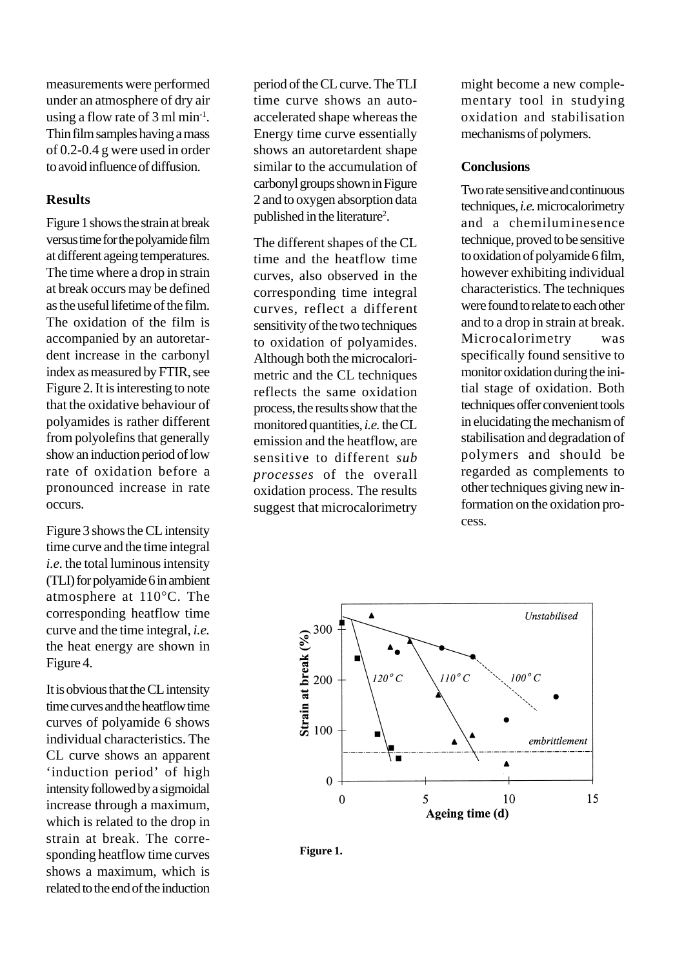measurements were performed under an atmosphere of dry air using a flow rate of 3 ml min-1. Thin film samples having a mass of 0.2-0.4 g were used in order to avoid influence of diffusion.

## **Results**

Figure 1 shows the strain at break versus time for the polyamide film at different ageing temperatures. The time where a drop in strain at break occurs may be defined as the useful lifetime of the film. The oxidation of the film is accompanied by an autoretardent increase in the carbonyl index as measured by FTIR, see Figure 2. It is interesting to note that the oxidative behaviour of polyamides is rather different from polyolefins that generally show an induction period of low rate of oxidation before a pronounced increase in rate occurs.

Figure 3 shows the CL intensity time curve and the time integral *i.e.* the total luminous intensity (TLI) for polyamide 6 in ambient atmosphere at 110°C. The corresponding heatflow time curve and the time integral, *i.e.* the heat energy are shown in Figure 4.

It is obvious that the CL intensity time curves and the heatflow time curves of polyamide 6 shows individual characteristics. The CL curve shows an apparent 'induction period' of high intensity followed by a sigmoidal increase through a maximum, which is related to the drop in strain at break. The corresponding heatflow time curves shows a maximum, which is related to the end of the induction period of the CL curve. The TLI time curve shows an autoaccelerated shape whereas the Energy time curve essentially shows an autoretardent shape similar to the accumulation of carbonyl groups shown in Figure 2 and to oxygen absorption data published in the literature<sup>2</sup>.

The different shapes of the CL time and the heatflow time curves, also observed in the corresponding time integral curves, reflect a different sensitivity of the two techniques to oxidation of polyamides. Although both the microcalorimetric and the CL techniques reflects the same oxidation process, the results show that the monitored quantities, *i.e.* the CL emission and the heatflow, are sensitive to different *sub processes* of the overall oxidation process. The results suggest that microcalorimetry might become a new complementary tool in studying oxidation and stabilisation mechanisms of polymers.

## **Conclusions**

Two rate sensitive and continuous techniques, *i.e.* microcalorimetry and a chemiluminesence technique, proved to be sensitive to oxidation of polyamide 6 film, however exhibiting individual characteristics. The techniques were found to relate to each other and to a drop in strain at break. Microcalorimetry was specifically found sensitive to monitor oxidation during the initial stage of oxidation. Both techniques offer convenient tools in elucidating the mechanism of stabilisation and degradation of polymers and should be regarded as complements to other techniques giving new information on the oxidation process.